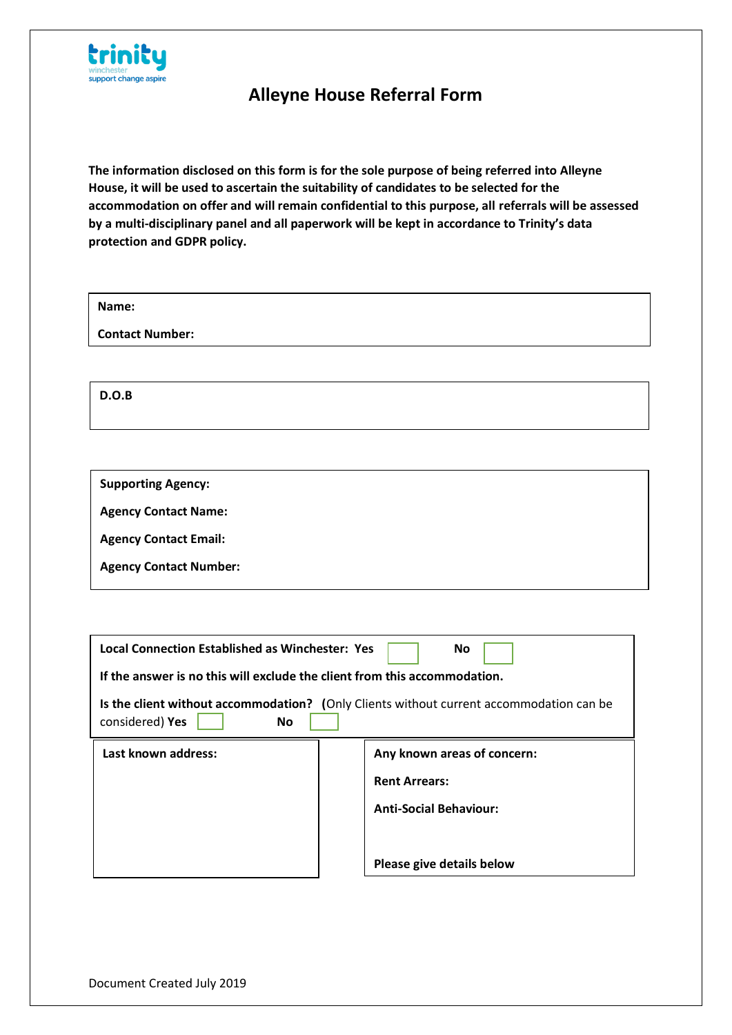

**The information disclosed on this form is for the sole purpose of being referred into Alleyne House, it will be used to ascertain the suitability of candidates to be selected for the accommodation on offer and will remain confidential to this purpose, all referrals will be assessed by a multi-disciplinary panel and all paperwork will be kept in accordance to Trinity's data protection and GDPR policy.**

| Name:                  |  |
|------------------------|--|
| <b>Contact Number:</b> |  |

**D.O.B**

**Supporting Agency:**

**Agency Contact Name:**

**Agency Contact Email:**

**Agency Contact Number:**

| <b>Local Connection Established as Winchester: Yes</b>                    | No                                                                                      |
|---------------------------------------------------------------------------|-----------------------------------------------------------------------------------------|
| If the answer is no this will exclude the client from this accommodation. |                                                                                         |
| considered) Yes<br>No                                                     | Is the client without accommodation? (Only Clients without current accommodation can be |
| Last known address:                                                       | Any known areas of concern:                                                             |
|                                                                           | <b>Rent Arrears:</b>                                                                    |
|                                                                           | <b>Anti-Social Behaviour:</b>                                                           |
|                                                                           |                                                                                         |
|                                                                           | Please give details below                                                               |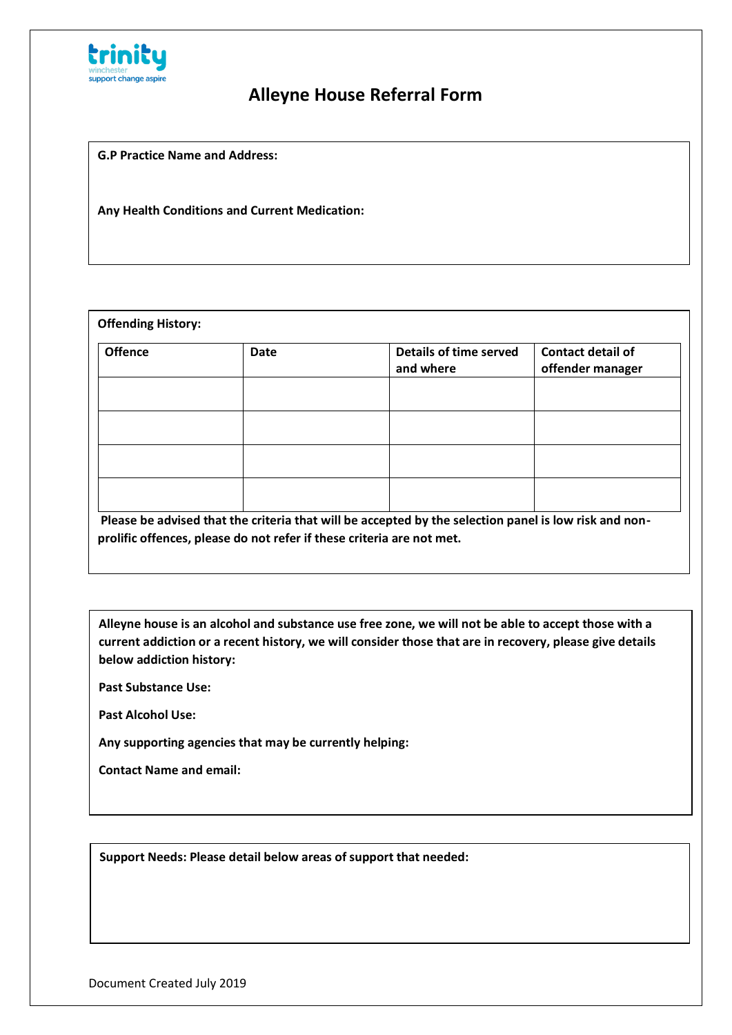

**G.P Practice Name and Address:**

**Any Health Conditions and Current Medication:**

|  | Please be advised that the criteria that will be accepted by the selection panel is low risk and non- |
|--|-------------------------------------------------------------------------------------------------------|

**Alleyne house is an alcohol and substance use free zone, we will not be able to accept those with a current addiction or a recent history, we will consider those that are in recovery, please give details below addiction history:**

**Past Substance Use:**

**Past Alcohol Use:**

**Any supporting agencies that may be currently helping:**

**Contact Name and email:**

**Support Needs: Please detail below areas of support that needed:**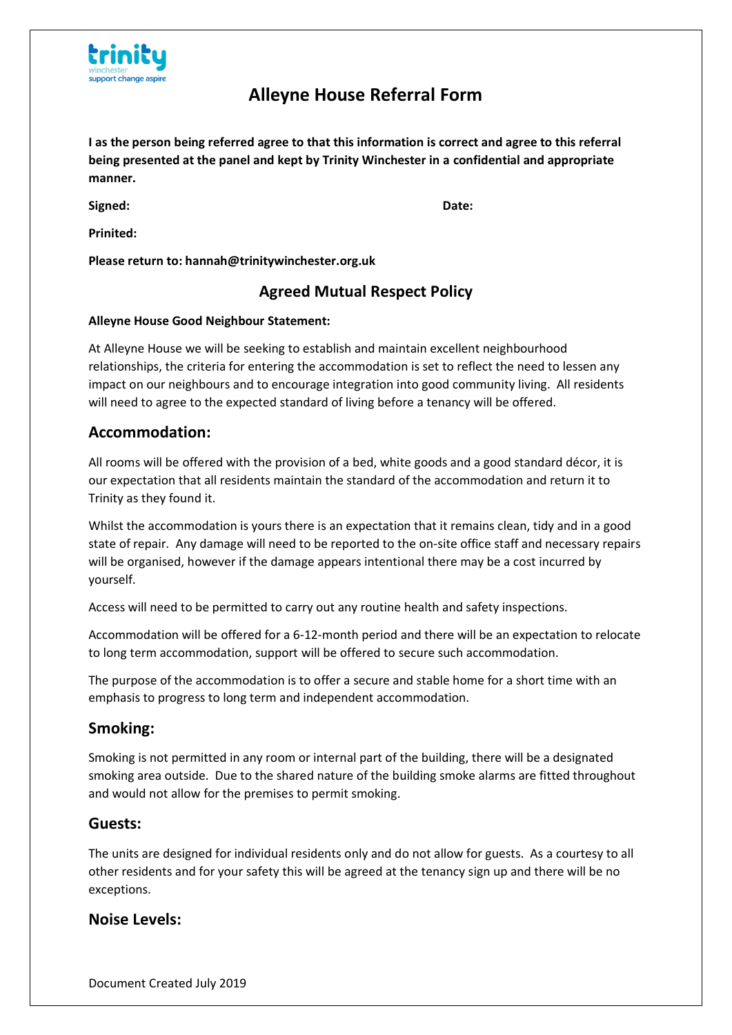

**I as the person being referred agree to that this information is correct and agree to this referral being presented at the panel and kept by Trinity Winchester in a confidential and appropriate manner.**

**Signed: Date:**

**Prinited:**

**Please return to: hannah@trinitywinchester.org.uk**

### **Agreed Mutual Respect Policy**

#### **Alleyne House Good Neighbour Statement:**

At Alleyne House we will be seeking to establish and maintain excellent neighbourhood relationships, the criteria for entering the accommodation is set to reflect the need to lessen any impact on our neighbours and to encourage integration into good community living. All residents will need to agree to the expected standard of living before a tenancy will be offered.

### **Accommodation:**

All rooms will be offered with the provision of a bed, white goods and a good standard décor, it is our expectation that all residents maintain the standard of the accommodation and return it to Trinity as they found it.

Whilst the accommodation is yours there is an expectation that it remains clean, tidy and in a good state of repair. Any damage will need to be reported to the on-site office staff and necessary repairs will be organised, however if the damage appears intentional there may be a cost incurred by yourself.

Access will need to be permitted to carry out any routine health and safety inspections.

Accommodation will be offered for a 6-12-month period and there will be an expectation to relocate to long term accommodation, support will be offered to secure such accommodation.

The purpose of the accommodation is to offer a secure and stable home for a short time with an emphasis to progress to long term and independent accommodation.

### **Smoking:**

Smoking is not permitted in any room or internal part of the building, there will be a designated smoking area outside. Due to the shared nature of the building smoke alarms are fitted throughout and would not allow for the premises to permit smoking.

#### **Guests:**

The units are designed for individual residents only and do not allow for guests. As a courtesy to all other residents and for your safety this will be agreed at the tenancy sign up and there will be no exceptions.

### **Noise Levels:**